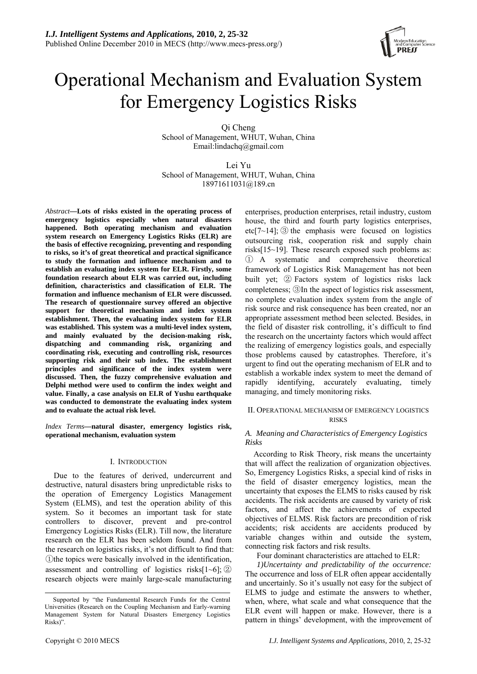

# Operational Mechanism and Evaluation System for Emergency Logistics Risks

Qi Cheng

School of Management, WHUT, Wuhan, China Email:lindachq@gmail.com

Lei Yu School of Management, WHUT, Wuhan, China 18971611031@189.cn

*Abstract***—Lots of risks existed in the operating process of emergency logistics especially when natural disasters happened. Both operating mechanism and evaluation system research on Emergency Logistics Risks (ELR) are the basis of effective recognizing, preventing and responding to risks, so it's of great theoretical and practical significance to study the formation and influence mechanism and to establish an evaluating index system for ELR. Firstly, some foundation research about ELR was carried out, including definition, characteristics and classification of ELR. The formation and influence mechanism of ELR were discussed. The research of questionnaire survey offered an objective support for theoretical mechanism and index system establishment. Then, the evaluating index system for ELR was established. This system was a multi-level index system, and mainly evaluated by the decision-making risk, dispatching and commanding risk, organizing and coordinating risk, executing and controlling risk, resources supporting risk and their sub index. The establishment principles and significance of the index system were discussed. Then, the fuzzy comprehensive evaluation and Delphi method were used to confirm the index weight and value. Finally, a case analysis on ELR of Yushu earthquake was conducted to demonstrate the evaluating index system and to evaluate the actual risk level.** 

*Index Terms***—natural disaster, emergency logistics risk, operational mechanism, evaluation system** 

# I. INTRODUCTION

Due to the features of derived, undercurrent and destructive, natural disasters bring unpredictable risks to the operation of Emergency Logistics Management System (ELMS), and test the operation ability of this system. So it becomes an important task for state controllers to discover, prevent and pre-control Emergency Logistics Risks (ELR). Till now, the literature research on the ELR has been seldom found. And from the research on logistics risks, it's not difficult to find that: ①the topics were basically involved in the identification, assessment and controlling of logistics risks $[1-6]$ ;  $(2)$ research objects were mainly large-scale manufacturing

enterprises, production enterprises, retail industry, custom house, the third and fourth party logistics enterprises, etc[7 $\sim$ 14]; ③ the emphasis were focused on logistics outsourcing risk, cooperation risk and supply chain risks[15~19]. These research exposed such problems as: ① A systematic and comprehensive theoretical framework of Logistics Risk Management has not been built yet; ② Factors system of logistics risks lack completeness; ③In the aspect of logistics risk assessment, no complete evaluation index system from the angle of risk source and risk consequence has been created, nor an appropriate assessment method been selected. Besides, in the field of disaster risk controlling, it's difficult to find the research on the uncertainty factors which would affect the realizing of emergency logistics goals, and especially those problems caused by catastrophes. Therefore, it's urgent to find out the operating mechanism of ELR and to establish a workable index system to meet the demand of rapidly identifying, accurately evaluating, timely managing, and timely monitoring risks.

# II. OPERATIONAL MECHANISM OF EMERGENCY LOGISTICS **RISKS**

# *A. Meaning and Characteristics of Emergency Logistics Risks*

According to Risk Theory, risk means the uncertainty that will affect the realization of organization objectives. So, Emergency Logistics Risks, a special kind of risks in the field of disaster emergency logistics, mean the uncertainty that exposes the ELMS to risks caused by risk accidents. The risk accidents are caused by variety of risk factors, and affect the achievements of expected objectives of ELMS. Risk factors are precondition of risk accidents; risk accidents are accidents produced by variable changes within and outside the system, connecting risk factors and risk results.

Four dominant characteristics are attached to ELR:

*1)Uncertainty and predictability of the occurrence:* The occurrence and loss of ELR often appear accidentally and uncertainly. So it's usually not easy for the subject of ELMS to judge and estimate the answers to whether, when, where, what scale and what consequence that the ELR event will happen or make. However, there is a pattern in things' development, with the improvement of

Supported by "the Fundamental Research Funds for the Central Universities (Research on the Coupling Mechanism and Early-warning Management System for Natural Disasters Emergency Logistics Risks)".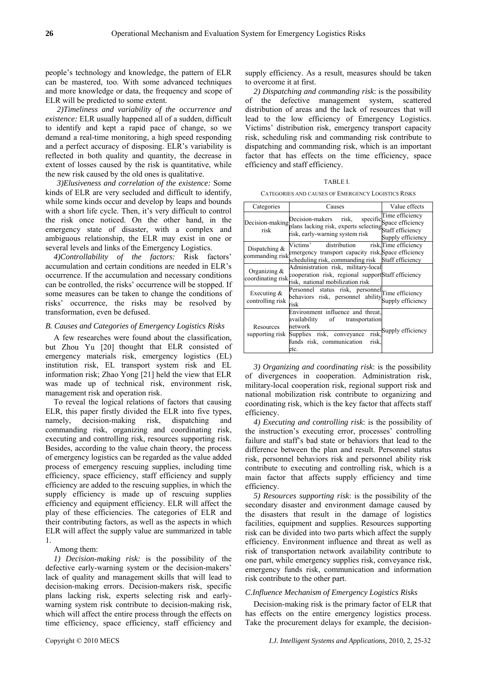people's technology and knowledge, the pattern of ELR can be mastered, too. With some advanced techniques and more knowledge or data, the frequency and scope of ELR will be predicted to some extent.

*2)Timeliness and variability of the occurrence and existence:* ELR usually happened all of a sudden, difficult to identify and kept a rapid pace of change, so we demand a real-time monitoring, a high speed responding and a perfect accuracy of disposing. ELR's variability is reflected in both quality and quantity, the decrease in extent of losses caused by the risk is quantitative, while the new risk caused by the old ones is qualitative.

*3)Elusiveness and correlation of the existence:* Some kinds of ELR are very secluded and difficult to identify, while some kinds occur and develop by leaps and bounds with a short life cycle. Then, it's very difficult to control the risk once noticed. On the other hand, in the emergency state of disaster, with a complex and ambiguous relationship, the ELR may exist in one or several levels and links of the Emergency Logistics.

*4)Controllability of the factors:* Risk factors' accumulation and certain conditions are needed in ELR's occurrence. If the accumulation and necessary conditions can be controlled, the risks' occurrence will be stopped. If some measures can be taken to change the conditions of risks' occurrence, the risks may be resolved by transformation, even be defused.

# *B. Causes and Categories of Emergency Logistics Risks*

A few researches were found about the classification, but Zhou Yu [20] thought that ELR consisted of emergency materials risk, emergency logistics (EL) institution risk, EL transport system risk and EL information risk; Zhao Yong [21] held the view that ELR was made up of technical risk, environment risk, management risk and operation risk.

To reveal the logical relations of factors that causing ELR, this paper firstly divided the ELR into five types, namely, decision-making risk, dispatching and commanding risk, organizing and coordinating risk, executing and controlling risk, resources supporting risk. Besides, according to the value chain theory, the process of emergency logistics can be regarded as the value added process of emergency rescuing supplies, including time efficiency, space efficiency, staff efficiency and supply efficiency are added to the rescuing supplies, in which the supply efficiency is made up of rescuing supplies efficiency and equipment efficiency. ELR will affect the play of these efficiencies. The categories of ELR and their contributing factors, as well as the aspects in which ELR will affect the supply value are summarized in table 1.

## Among them:

*1) Decision-making risk:* is the possibility of the defective early-warning system or the decision-makers' lack of quality and management skills that will lead to decision-making errors. Decision-makers risk, specific plans lacking risk, experts selecting risk and earlywarning system risk contribute to decision-making risk, which will affect the entire process through the effects on time efficiency, space efficiency, staff efficiency and

supply efficiency. As a result, measures should be taken to overcome it at first.

*2) Dispatching and commanding risk*: is the possibility of the defective management system, scattered distribution of areas and the lack of resources that will lead to the low efficiency of Emergency Logistics. Victims' distribution risk, emergency transport capacity risk, scheduling risk and commanding risk contribute to dispatching and commanding risk, which is an important factor that has effects on the time efficiency, space efficiency and staff efficiency.

CATEGORIES AND CAUSES OF EMERGENCY LOGISTICS RISKS

| Categories                           | Causes                                                                                                                                                                                  | Value effects                                                       |  |
|--------------------------------------|-----------------------------------------------------------------------------------------------------------------------------------------------------------------------------------------|---------------------------------------------------------------------|--|
|                                      | Decision-makers risk,<br>Decision-making plans lacking risk, experts selecting plans that all plans lacking risk, experts selecting Staff efficiency<br>risk, early-warning system risk | Time efficiency<br>specific <sup>1</sup> mix -<br>Supply efficiency |  |
| Dispatching $\&$<br>commanding risk  | Victims'<br>distribution<br>emergency transport capacity risk, Space efficiency<br>scheduling risk, commanding risk Staff efficiency                                                    | risk, Time efficiency                                               |  |
| Organizing $\&$<br>coordinating risk | Administration risk, military-local<br>cooperation risk, regional supportStaff efficiency<br>risk, national mobilization risk                                                           |                                                                     |  |
| Executing $&$<br>controlling risk    | Personnel status risk, personnel Time efficiency<br>behaviors risk, personnel ability supply efficiency<br>risk                                                                         |                                                                     |  |
| Resources<br>supporting risk         | Environment influence and threat,<br>availability of<br>transportation<br>network<br>risk.<br>Supplies risk, conveyance<br>funds risk, communication<br>risk<br>etc.                    | Supply efficiency                                                   |  |

*3) Organizing and coordinating risk*: is the possibility of divergences in cooperation. Administration risk, military-local cooperation risk, regional support risk and national mobilization risk contribute to organizing and coordinating risk, which is the key factor that affects staff efficiency.

*4) Executing and controlling risk*: is the possibility of the instruction's executing error, processes' controlling failure and staff's bad state or behaviors that lead to the difference between the plan and result. Personnel status risk, personnel behaviors risk and personnel ability risk contribute to executing and controlling risk, which is a main factor that affects supply efficiency and time efficiency.

*5) Resources supporting risk*: is the possibility of the secondary disaster and environment damage caused by the disasters that result in the damage of logistics facilities, equipment and supplies. Resources supporting risk can be divided into two parts which affect the supply efficiency. Environment influence and threat as well as risk of transportation network availability contribute to one part, while emergency supplies risk, conveyance risk, emergency funds risk, communication and information risk contribute to the other part.

# *C.Influence Mechanism of Emergency Logistics Risks*

Decision-making risk is the primary factor of ELR that has effects on the entire emergency logistics process. Take the procurement delays for example, the decision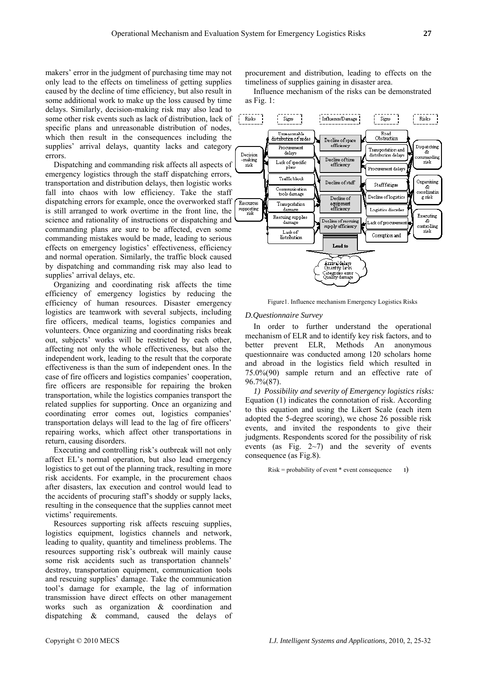makers' error in the judgment of purchasing time may not only lead to the effects on timeliness of getting supplies caused by the decline of time efficiency, but also result in some additional work to make up the loss caused by time delays. Similarly, decision-making risk may also lead to some other risk events such as lack of distribution, lack of specific plans and unreasonable distribution of nodes, which then result in the consequences including the supplies' arrival delays, quantity lacks and category errors.

Dispatching and commanding risk affects all aspects of emergency logistics through the staff dispatching errors, transportation and distribution delays, then logistic works fall into chaos with low efficiency. Take the staff dispatching errors for example, once the overworked staff is still arranged to work overtime in the front line, the science and rationality of instructions or dispatching and commanding plans are sure to be affected, even some commanding mistakes would be made, leading to serious effects on emergency logistics' effectiveness, efficiency and normal operation. Similarly, the traffic block caused by dispatching and commanding risk may also lead to supplies' arrival delays, etc.

Organizing and coordinating risk affects the time efficiency of emergency logistics by reducing the efficiency of human resources. Disaster emergency logistics are teamwork with several subjects, including fire officers, medical teams, logistics companies and volunteers. Once organizing and coordinating risks break out, subjects' works will be restricted by each other, affecting not only the whole effectiveness, but also the independent work, leading to the result that the corporate effectiveness is than the sum of independent ones. In the case of fire officers and logistics companies' cooperation, fire officers are responsible for repairing the broken transportation, while the logistics companies transport the related supplies for supporting. Once an organizing and coordinating error comes out, logistics companies' transportation delays will lead to the lag of fire officers' repairing works, which affect other transportations in return, causing disorders.

Executing and controlling risk's outbreak will not only affect EL's normal operation, but also lead emergency logistics to get out of the planning track, resulting in more risk accidents. For example, in the procurement chaos after disasters, lax execution and control would lead to the accidents of procuring staff's shoddy or supply lacks, resulting in the consequence that the supplies cannot meet victims' requirements.

Resources supporting risk affects rescuing supplies, logistics equipment, logistics channels and network, leading to quality, quantity and timeliness problems. The resources supporting risk's outbreak will mainly cause some risk accidents such as transportation channels' destroy, transportation equipment, communication tools and rescuing supplies' damage. Take the communication tool's damage for example, the lag of information transmission have direct effects on other management works such as organization & coordination and dispatching & command, caused the delays of procurement and distribution, leading to effects on the timeliness of supplies gaining in disaster area.

Influence mechanism of the risks can be demonstrated as Fig. 1:



Figure1. Influence mechanism Emergency Logistics Risks

# *D.Questionnaire Survey*

In order to further understand the operational mechanism of ELR and to identify key risk factors, and to better prevent ELR, Methods An anonymous questionnaire was conducted among 120 scholars home  $75.0\%(90)$  sample return and an effective rate of 96 .7%(87). and abroad in the logistics field which resulted in

judgments. Respondents scored for the possibility of risk ev ents (as Fig. 2~7) and the severity of events *1) Possibility and severity of Emergency logistics risks:*  Equation (1) indicates the connotation of risk. According to this equation and using the Likert Scale (each item adopted the 5-degree scoring), we chose 26 possible risk events, and invited the respondents to give their consequence (as Fig.8).

 $Risk = probability of event * event consequence 1)$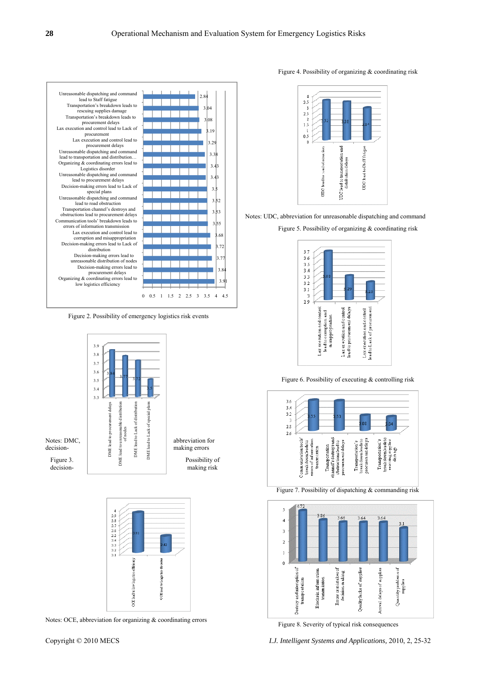

Figure 2. Possibility of emergency logistics risk events





Notes: OCE, abbreviation for organizing & coordinating errors

## Figure 4. Possibility of organizing & coordinating risk



Notes: UDC, abbreviation for unreasonable dispatching and command

Figure 5. Possibility of organizing & coordinating risk



Figure 6. Possibility of executing & controlling risk



Figure 7. Possibility of dispatching & commanding risk



Figure 8. Severity of typical risk consequences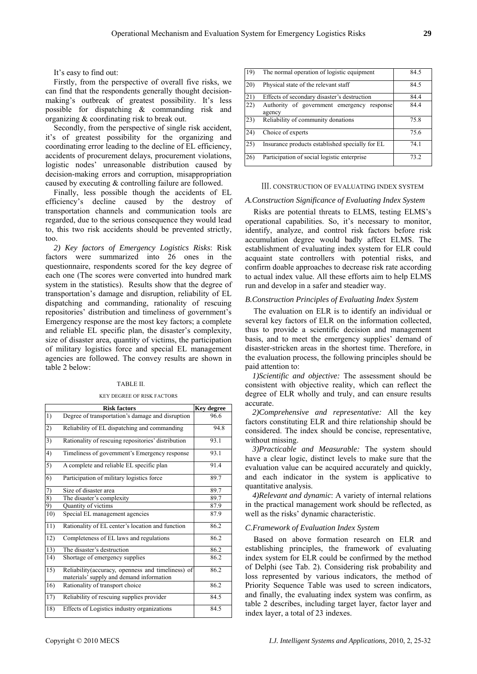It's easy to find out:

Firstly, from the perspective of overall five risks, we can find that the respondents generally thought decisionmaking's outbreak of greatest possibility. It's less possible for dispatching & commanding risk and organizing & coordinating risk to break out.

Secondly, from the perspective of single risk accident, it's of greatest possibility for the organizing and coordinating error leading to the decline of EL efficiency, accidents of procurement delays, procurement violations, logistic nodes' unreasonable distribution caused by decision-making errors and corruption, misappropriation caused by executing & controlling failure are followed.

Finally, less possible though the accidents of EL efficiency's decline caused by the destroy of transportation channels and communication tools are regarded, due to the serious consequence they would lead to, this two risk accidents should be prevented strictly, too.

*2) Key factors of Emergency Logistics Risks*: Risk factors were summarized into 26 ones in the questionnaire, respondents scored for the key degree of each one (The scores were converted into hundred mark system in the statistics). Results show that the degree of transportation's damage and disruption, reliability of EL dispatching and commanding, rationality of rescuing repositories' distribution and timeliness of government's Emergency response are the most key factors; a complete and reliable EL specific plan, the disaster's complexity, size of disaster area, quantity of victims, the participation of military logistics force and special EL management agencies are followed. The convey results are shown in table 2 below:

#### TABLE II.

KEY DEGREE OF RISK FACTORS

|     | <b>Risk factors</b>                                                                           | <b>Key degree</b> |
|-----|-----------------------------------------------------------------------------------------------|-------------------|
| 1)  | Degree of transportation's damage and disruption                                              | 96.6              |
| 2)  | Reliability of EL dispatching and commanding                                                  | 94.8              |
| 3)  | Rationality of rescuing repositories' distribution                                            | 93.1              |
| 4)  | Timeliness of government's Emergency response                                                 | 93.1              |
| 5)  | A complete and reliable EL specific plan                                                      | 91.4              |
| 6)  | Participation of military logistics force                                                     | 89.7              |
| 7)  | Size of disaster area                                                                         | 89.7              |
| 8)  | The disaster's complexity                                                                     | 89.7              |
| 9)  | Quantity of victims                                                                           | 87.9              |
| 10) | Special EL management agencies                                                                | 87.9              |
| 11) | Rationality of EL center's location and function                                              | 86.2              |
| 12) | Completeness of EL laws and regulations                                                       | 86.2              |
| 13) | The disaster's destruction                                                                    | 86.2              |
| 14) | Shortage of emergency supplies                                                                | 86.2              |
| 15) | Reliability(accuracy, openness and timeliness) of<br>materials' supply and demand information | 86.2              |
| 16) | Rationality of transport choice                                                               | 86.2              |
| 17) | Reliability of rescuing supplies provider                                                     | 84.5              |
| 18) | Effects of Logistics industry organizations                                                   | 84.5              |

| 19)  | The normal operation of logistic equipment              | 84.5 |
|------|---------------------------------------------------------|------|
| (20) | Physical state of the relevant staff                    | 84.5 |
| 21   | Effects of secondary disaster's destruction             | 84.4 |
| (22) | Authority of government emergency<br>response<br>agency | 84.4 |
| (23) | Reliability of community donations                      | 75.8 |
| 24)  | Choice of experts                                       | 75.6 |
| 25)  | Insurance products established specially for EL         | 74.1 |
| 26   | Participation of social logistic enterprise             | 73.2 |

#### Ⅲ. CONSTRUCTION OF EVALUATING INDEX SYSTEM

# *A.Construction Significance of Evaluating Index System*

Risks are potential threats to ELMS, testing ELMS's operational capabilities. So, it's necessary to monitor, identify, analyze, and control risk factors before risk accumulation degree would badly affect ELMS. The establishment of evaluating index system for ELR could acquaint state controllers with potential risks, and confirm doable approaches to decrease risk rate according to actual index value. All these efforts aim to help ELMS run and develop in a safer and steadier way.

## *B.Construction Principles of Evaluating Index System*

The evaluation on ELR is to identify an individual or several key factors of ELR on the information collected, thus to provide a scientific decision and management basis, and to meet the emergency supplies' demand of disaster-stricken areas in the shortest time. Therefore, in the evaluation process, the following principles should be paid attention to:

*1)Scientific and objective:* The assessment should be consistent with objective reality, which can reflect the degree of ELR wholly and truly, and can ensure results accurate.

*2)Comprehensive and representative:* All the key factors constituting ELR and thire relationship should be considered. The index should be concise, representative, without missing.

*3)Practicable and Measurable:* The system should have a clear logic, distinct levels to make sure that the evaluation value can be acquired accurately and quickly, and each indicator in the system is applicative to quantitative analysis.

*4)Relevant and dynamic*: A variety of internal relations in the practical management work should be reflected, as well as the risks' dynamic characteristic.

# *C.Framework of Evaluation Index System*

Based on above formation research on ELR and establishing principles, the framework of evaluating index system for ELR could be confirmed by the method of Delphi (see Tab. 2). Considering risk probability and loss represented by various indicators, the method of Priority Sequence Table was used to screen indicators, and finally, the evaluating index system was confirm, as table 2 describes, including target layer, factor layer and index layer, a total of 23 indexes.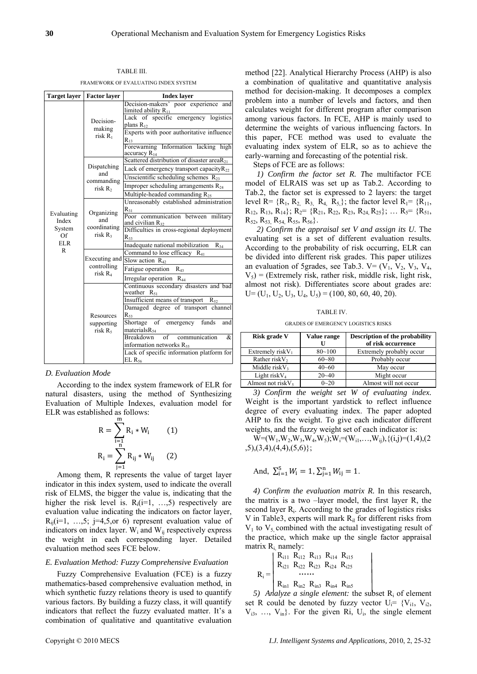TABLE III.

FRAMEWORK OF EVALUATING INDEX SYSTEM

|                  | Target layer   Factor layer                             | <b>Index layer</b>                                               |  |  |
|------------------|---------------------------------------------------------|------------------------------------------------------------------|--|--|
|                  |                                                         | Decision-makers' poor experience and<br>limited ability $R_{11}$ |  |  |
|                  |                                                         | Lack of specific emergency logistics                             |  |  |
|                  | Decision-<br>making<br>risk R1                          | plans $R_{12}$                                                   |  |  |
|                  |                                                         | Experts with poor authoritative influence                        |  |  |
|                  |                                                         | $R_{13}$                                                         |  |  |
|                  |                                                         | Forewarning Information lacking high<br>accuracy $R_{14}$        |  |  |
|                  | Dispatching<br>and<br>commanding<br>risk R <sub>2</sub> | Scattered distribution of disaster area $R_{21}$                 |  |  |
|                  |                                                         | Lack of emergency transport capacity $R_{22}$                    |  |  |
|                  |                                                         | Unscientific scheduling schemes $R_{23}$                         |  |  |
|                  |                                                         | Improper scheduling arrangements R <sub>24</sub>                 |  |  |
|                  |                                                         | Multiple-headed commanding $R_{25}$                              |  |  |
|                  | Organizing<br>and<br>coordinating<br>risk $R_3$         | Unreasonably established administration                          |  |  |
| Evaluating       |                                                         | $R_{31}$                                                         |  |  |
| Index<br>System  |                                                         | Poor communication between military<br>and civilian $R_{32}$     |  |  |
|                  |                                                         | Difficulties in cross-regional deployment                        |  |  |
| Of<br><b>ELR</b> |                                                         | $R_{33}$                                                         |  |  |
| R                |                                                         | Inadequate national mobilization<br>$R_{34}$                     |  |  |
|                  | Executing and<br>controlling<br>risk R <sub>4</sub>     | Command to lose efficacy $R_{41}$<br>Slow action $R_{42}$        |  |  |
|                  |                                                         |                                                                  |  |  |
|                  |                                                         | Fatigue operation $R_{43}$                                       |  |  |
|                  |                                                         | Irregular operation $R_{44}$                                     |  |  |
|                  | Resources<br>supporting<br>$risk R_5$                   | Continuous secondary disasters and bad<br>weather $R_{51}$       |  |  |
|                  |                                                         | Insufficient means of transport $R_{52}$                         |  |  |
|                  |                                                         | Damaged degree of transport channel                              |  |  |
|                  |                                                         | $R_{53}$                                                         |  |  |
|                  |                                                         | Shortage of emergency funds<br>and<br>materials $R_{54}$         |  |  |
|                  |                                                         | of<br>communication<br><b>Breakdown</b><br>&                     |  |  |
|                  |                                                         | information networks $R_{55}$                                    |  |  |
|                  |                                                         | Lack of specific information platform for                        |  |  |
|                  |                                                         | $EL R_{56}$                                                      |  |  |

# *D. Evaluation Mode*

According to the index system framework of ELR for natural disasters, using the method of Synthesizing Evaluation of Multiple Indexes, evaluation model for ELR was establi shed as follows:

$$
R = \sum_{i=1}^{m} R_i * W_i
$$
 (1)  

$$
R_i = \sum_{j=1}^{n} R_{ij} * W_{ij}
$$
 (2)

Among them, R represents the value of target layer indicator in this index system, used to indicate the overall risk of ELMS, the bigger the value is, indicating that the higher the risk level is.  $R_i(i=1, \ldots, 5)$  respectively are evaluation value indicating the indicators on factor layer,  $R_{ii}(i=1, \ldots, 5; i=4, 5, or 6)$  represent evaluation value of indicators on index layer.  $W_i$  and  $W_{ii}$  respectively express the weight in each corresponding layer. Detailed evaluation method sees FCE below.

## *E. Evaluation Method: Fuzzy Comprehensive Evaluation*

Fuzzy Comprehensive Evaluation (FCE) is a fuzzy mathematics-based comprehensive evaluation method, in which synthetic fuzzy relations theory is used to quantify various factors. By building a fuzzy class, it will quantify indicators that reflect the fuzzy evaluated matter. It's a combination of qualitative and quantitative evaluation method [22]. Analytical Hierarchy Process (AHP) is also a combination of qualitative and quantitative analysis method for decision-making. It decomposes a complex problem into a number of levels and factors, and then calculates weight for different program after comparison among various factors. In FCE, AHP is mainly used to determine the weights of various influencing factors. In this paper, FCE method was used to evaluate the evaluating index system of ELR, so as to achieve the early-warning and forecasting of the potential risk.

Steps of FCE are as follows:

*1) Confirm the factor set R. T*he multifactor FCE model of ELRAIS was set up as Tab.2. According to Tab.2, the factor set is expressed to 2 layers: the target level R=  $\{R_1, R_2, R_3, R_4, R_5\}$ ; the factor level R<sub>1</sub>=  $\{R_{11}, R_{22}, R_{33}, R_{4}, R_{53}\}$ ; the factor level R<sub>1</sub>=  $\{R_{11}, R_{22}, R_{33}, R_{4}, R_{53}\}$ ; the factor level R<sub>1</sub>=  $\{R_{11}, R_{22}, R_{33}, R_{4}, R_{53}\}$ ; the factor level R<sub>1</sub>=  $R_{12}$ ,  $R_{13}$ ,  $R_{14}$ };  $R_{2}$  = { $R_{21}$ ,  $R_{22}$ ,  $R_{23}$ ,  $R_{24}$ ,  $R_{25}$ }; ...  $R_{5}$  = { $R_{51}$ ,  $R_{52}$ ,  $R_{53}$ ,  $R_{54}$ ,  $R_{55}$ ,  $R_{56}$ .

*2) Confirm the appraisal set V and assign its U.* The evaluating set is a set of different evaluation results. According to the probability of risk occurring, ELR can be divided into different risk grades. This paper utilizes an evaluation of 5grades, see Tab.3.  $V = (V_1, V_2, V_3, V_4, V_5, V_6)$  $V_5$ ) = (Extremely risk, rather risk, middle risk, light risk, almost not risk). Differentiates score about grades are:  $U=(U_1, U_2, U_3, U_4, U_5) = (100, 80, 60, 40, 20).$ 

TABLE IV.

GRADES OF EMERGENCY LOGISTICS RISKS

| <b>Risk grade V</b>       | <b>Description of the probability</b><br>Value range |                          |
|---------------------------|------------------------------------------------------|--------------------------|
|                           |                                                      | of risk occurrence       |
| Extremely risk $V_1$      | $80 - 100$                                           | Extremely probably occur |
| Rather riskV <sub>2</sub> | $60 - 80$                                            | Probably occur           |
| Middle risk $V_3$         | $40 - 60$                                            | May occur                |
| Light risk $V_4$          | $20 - 40$                                            | Might occur              |
| Almost not risk $V_5$     | $0 - 20$                                             | Almost will not occur    |

*3) Confirm the weight set W of evaluating index.*  Weight is the important yardstick to reflect influence degree of every evaluating index. The paper adopted AHP to fix the weight. To give each indicator different weights, and the fuzzy weight set of each indicator is:

 $W=(W_1,W_2,W_3,W_4,W_5);W_i=(W_{i1},...,W_{ij}),\{(i,j)=(1,4),(2,4)\}$  $,5),(3,4),(4,4),(5,6)$ ;

And, 
$$
\sum_{i=1}^{5} W_i = 1
$$
,  $\sum_{j=1}^{n} W_{ij} = 1$ .

*4) Confirm the evaluation matrix R.* In this research, the matrix is a two –layer model, the first layer R, the second layer R<sub>i</sub>. According to the grades of logistics risks V in Table3, experts will mark  $R_{il}$  for different risks from  $V_1$  to  $V_5$  combined with the actual investigating result of the practice, which make up the single factor appraisal matrix  $R_i$  namely:

$$
R_i = \begin{pmatrix} R_{i11} & R_{i12} & R_{i13} & R_{i14} & R_{i15} \\ R_{i21} & R_{i22} & R_{i23} & R_{i24} & R_{i25} \\ & \cdots & \cdots & \\ R_{in1} & R_{in2} & R_{in3} & R_{in4} & R_{in5} \end{pmatrix}
$$

*5) Analyze a single element:* the subset Ri of element set R could be denoted by fuzzy vector  $U_i = \{V_{i1}, V_{i2},\}$  $V_{i3}$ , ...,  $V_{in}$ . For the given Ri, U<sub>i</sub>, the single element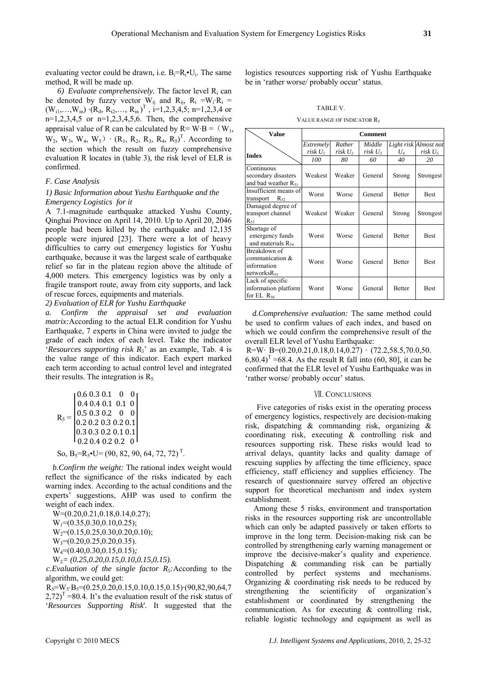evaluating vector could be drawn, i.e.  $B_i=R_i \cdot U_i$ . The same method, R will be made up.

6) *Evaluate comprehensively*. The factor level  $R_i$  can be denoted by fuzzy vector  $W_{ij}$  and  $R_{ij}$ ,  $R_i = W_i \cdot R_i$  $(W_{i1},...,W_{in})$   $(R_{i1}, R_{i2},..., R_{in})^T$ ,  $i=1,2,3,4,5;$  n=1,2,3,4 or  $n=1,2,3,4,5$  or  $n=1,2,3,4,5,6$ . Then, the comprehensive appraisal value of R can be calculated by  $R= W \cdot B = (W_1,$  $W_2$ ,  $W_3$ ,  $W_4$ ,  $W_5$ )  $\cdot$  ( $R_1$ ,  $R_2$ ,  $R_3$ ,  $R_4$ ,  $R_5$ )<sup>T</sup>. According to the section which the result on fuzzy comprehensive evaluation R locates in (table 3), the risk level of ELR is confirmed.

# *F. Case Analysis*

# *1) Basic Information about Yushu Earthquake and the Emergency Logistics for it*

A 7.1-magnitude earthquake attacked Yushu County, Qinghai Province on April 14, 2010. Up to April 20, 2046 people had been killed by the earthquake and 12,135 people were injured [23]. There were a lot of heavy difficulties to carry out emergency logistics for Yushu earthquake, because it was the largest scale of earthquake relief so far in the plateau region above the altitude of 4,000 meters. This emergency logistics was by only a fragile transport route, away from city supports, and lack of rescue forces, equipments and materials.

*2) Evaluation of ELR for Yushu Earthquake* 

*a. Confirm the appraisal set and evaluation matrix:*According to the actual ELR condition for Yushu Earthquake, 7 experts in China were invited to judge the grade of each index of each level. Take the indicator '*Resources supporting risk R5*' as an example, Tab. 4 is the value range of this indicator. Each expert marked each term according to actual control level and integrated their results. The integration is  $R_5$ .

$$
R_{5} = \begin{bmatrix} 0.6 & 0.3 & 0.1 & 0 & 0 \\ 0.4 & 0.4 & 0.1 & 0.1 & 0 \\ 0.5 & 0.3 & 0.2 & 0 & 0 \\ 0.2 & 0.2 & 0.3 & 0.2 & 0.1 \\ 0.3 & 0.3 & 0.2 & 0.1 & 0.1 \\ 0.2 & 0.4 & 0.2 & 0.2 & 0 \end{bmatrix}
$$

So,  $B_5=R_5 \cdot U = (90, 82, 90, 64, 72, 72)^T$ .

*b.Confirm the weight:* The rational index weight would reflect the significance of the risks indicated by each warning index. According to the actual conditions and the experts' suggestions, AHP was used to confirm the weight of each index.

W= $(0.20.0.21.0.18.0.14.0.27)$ ;  $W_1=(0.35, 0.30, 0.10, 0.25);$  $W_2=(0.15, 0.25, 0.30, 0.20, 0.10);$  $W_3=(0.20, 0.25, 0.20, 0.35)$ . W4=(0.40,0.30,0.15,0.15)*;*  W*5= (0.25,0.20,0.15,0.10,0.15,0.15).* 

*c.Evaluation of the single factor R5:*According to the algorithm, we could get:

 $R_5 = W_5 \cdot B_5 = (0.25, 0.20, 0.15, 0.10, 0.15, 0.15) \cdot (90, 82, 90, 64, 7)$  $(2,72)^{T}$  =80.4. It's the evaluation result of the risk status of '*Resources Supporting Risk*'. It suggested that the

logistics resources supporting risk of Yushu Earthquake be in 'rather worse/ probably occur' status.

TABLE V.

VALUE RANGE OF INDICATOR R5

| <b>Value</b>                                                          | <b>Comment</b>       |                               |                               |               |                                              |
|-----------------------------------------------------------------------|----------------------|-------------------------------|-------------------------------|---------------|----------------------------------------------|
|                                                                       | Extremely<br>risk U1 | Rather<br>risk U <sub>2</sub> | Middle<br>risk U <sub>3</sub> | $U_4$         | Light risk Almost not<br>risk U <sub>5</sub> |
| <b>Index</b>                                                          | 100                  | 80                            | 60                            | 40            | 20                                           |
| Continuous<br>secondary disasters<br>and bad weather $R_{51}$         | Weakest              | Weaker                        | General                       | Strong        | Strongest                                    |
| Insufficient means of<br>$R_{52}$<br>transport                        | Worst                | Worse                         | General                       | <b>Better</b> | Best                                         |
| Damaged degree of<br>transport channel<br>$R_{53}$                    | Weakest              | Weaker                        | General                       | Strong        | Strongest                                    |
| Shortage of<br>emergency funds<br>and materials R <sub>54</sub>       | Worst                | Worse                         | General                       | <b>Better</b> | <b>Best</b>                                  |
| Breakdown of<br>communication $&$<br>information<br>networks $R_{55}$ | Worst                | Worse                         | General                       | <b>Better</b> | <b>Best</b>                                  |
| Lack of specific<br>information platform<br>for EL $R_{56}$           | Worst                | Worse                         | General                       | <b>Better</b> | <b>Best</b>                                  |

*d.Comprehensive evaluation:* The same method could be used to confirm values of each index, and based on which we could confirm the comprehensive result of the overall ELR level of Yushu Earthquake:

 $R=W \cdot B=(0.20, 0.21, 0.18, 0.14, 0.27) \cdot (72.2, 58.5, 70.0, 50.$  $(6,80.4)^T = 68.4$ . As the result R fall into (60, 80], it can be confirmed that the ELR level of Yushu Earthquake was in 'rather worse/ probably occur' status.

# Ⅶ. CONCLUSIONS

Five categories of risks exist in the operating process of emergency logistics, respectively are decision-making risk, dispatching & commanding risk, organizing & coordinating risk, executing & controlling risk and resources supporting risk. These risks would lead to arrival delays, quantity lacks and quality damage of rescuing supplies by affecting the time efficiency, space efficiency, staff efficiency and supplies efficiency. The research of questionnaire survey offered an objective support for theoretical mechanism and index system establishment.

Among these 5 risks, environment and transportation risks in the resources supporting risk are uncontrollable which can only be adapted passively or taken efforts to improve in the long term. Decision-making risk can be controlled by strengthening early warning management or improve the decisive-maker's quality and experience. Dispatching & commanding risk can be partially controlled by perfect systems and mechanisms. Organizing & coordinating risk needs to be reduced by strengthening the scientificity of organization's establishment or coordinated by strengthening the communication. As for executing & controlling risk, reliable logistic technology and equipment as well as